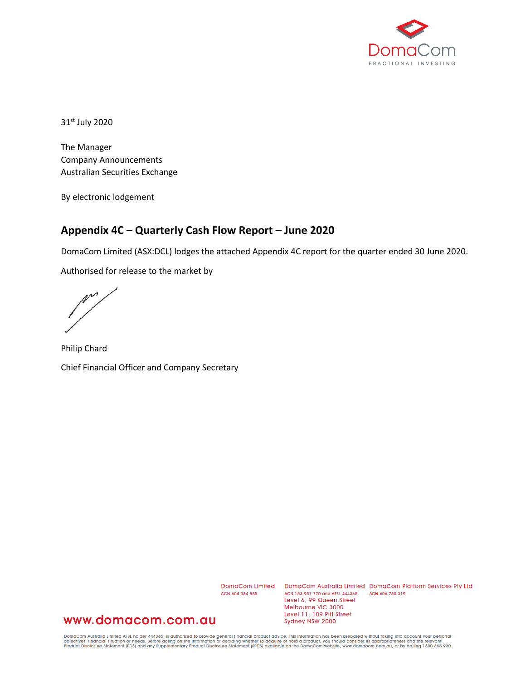

31st July 2020

The Manager Company Announcements Australian Securities Exchange

By electronic lodgement

## **Appendix 4C – Quarterly Cash Flow Report – June 2020**

DomaCom Limited (ASX:DCL) lodges the attached Appendix 4C report for the quarter ended 30 June 2020.

Authorised for release to the market by

 $\mathbb{M}^{\mathcal{M}}$ 

Philip Chard Chief Financial Officer and Company Secretary

ACN 604 384 885

DomaCom Limited DomaCom Australia Limited DomaCom Platform Services Pty Ltd ACN 153 951 770 and AFSL 444365 ACN 606 755 319 Level 6, 99 Queen Street Melbourne VIC 3000 Level 11, 109 Pitt Street Sydney NSW 2000

## www.domacom.com.au

DomaCom Australia Limited AFSL holder 444365, is authorised to provide general financial product advice. This information has been prepared without taking into account your personal<br>objectives, financial situation or needs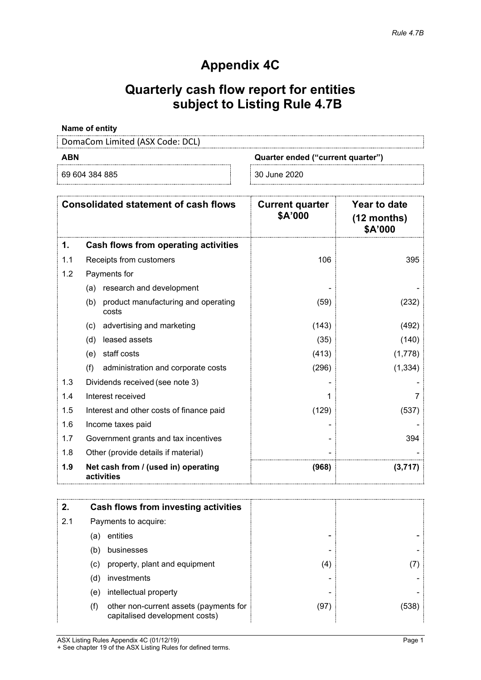## **Appendix 4C**

# **Quarterly cash flow report for entities subject to Listing Rule 4.7B**

#### **Name of entity**

DomaCom Limited (ASX Code: DCL)

|  | -<br>٠ |  |
|--|--------|--|
|--|--------|--|

69 604 384 885 30 June 2020

**ABN Quarter ended ("current quarter")**

|     | <b>Consolidated statement of cash flows</b>         | <b>Current quarter</b><br>\$A'000 | Year to date<br>$(12$ months)<br>\$A'000 |
|-----|-----------------------------------------------------|-----------------------------------|------------------------------------------|
| 1.  | Cash flows from operating activities                |                                   |                                          |
| 1.1 | Receipts from customers                             | 106                               | 395                                      |
| 1.2 | Payments for                                        |                                   |                                          |
|     | research and development<br>(a)                     |                                   |                                          |
|     | product manufacturing and operating<br>(b)<br>costs | (59)                              | (232)                                    |
|     | advertising and marketing<br>(c)                    | (143)                             | (492)                                    |
|     | leased assets<br>(d)                                | (35)                              | (140)                                    |
|     | staff costs<br>(e)                                  | (413)                             | (1,778)                                  |
|     | (f)<br>administration and corporate costs           | (296)                             | (1, 334)                                 |
| 1.3 | Dividends received (see note 3)                     |                                   |                                          |
| 1.4 | Interest received                                   |                                   |                                          |
| 1.5 | Interest and other costs of finance paid            | (129)                             | (537)                                    |
| 1.6 | Income taxes paid                                   |                                   |                                          |
| 1.7 | Government grants and tax incentives                |                                   | 394                                      |
| 1.8 | Other (provide details if material)                 |                                   |                                          |
| 1.9 | Net cash from / (used in) operating<br>activities   | (968)                             | (3,717)                                  |

|     |     | Cash flows from investing activities                                     |      |      |
|-----|-----|--------------------------------------------------------------------------|------|------|
| 2.1 |     | Payments to acquire:                                                     |      |      |
|     | (a) | entities                                                                 |      |      |
|     | (b) | businesses                                                               |      |      |
|     | (c) | property, plant and equipment                                            | (4)  |      |
|     | (d) | investments                                                              |      |      |
|     | (e) | intellectual property                                                    |      |      |
|     | (f) | other non-current assets (payments for<br>capitalised development costs) | (97) | (538 |

ASX Listing Rules Appendix 4C (01/12/19) Page 1 + See chapter 19 of the ASX Listing Rules for defined terms.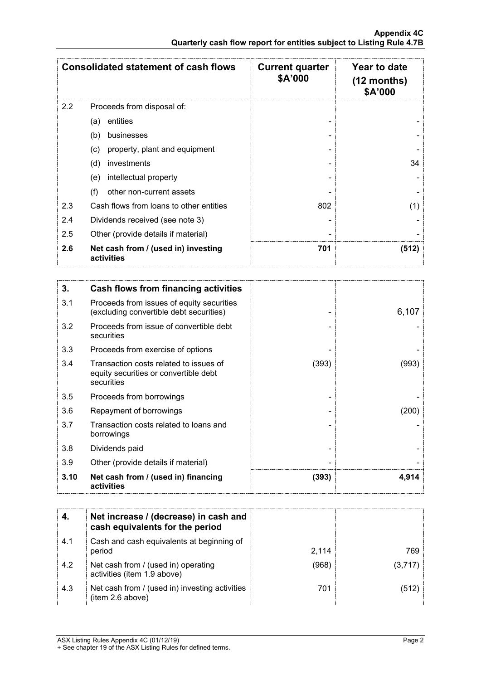|     | <b>Consolidated statement of cash flows</b>       | <b>Current quarter</b><br>\$A'000 | <b>Year to date</b><br>$(12$ months)<br><b>\$A'000</b> |
|-----|---------------------------------------------------|-----------------------------------|--------------------------------------------------------|
| 2.2 | Proceeds from disposal of:                        |                                   |                                                        |
|     | entities<br>(a)                                   |                                   |                                                        |
|     | (b)<br>businesses                                 |                                   |                                                        |
|     | property, plant and equipment<br>(c)              |                                   |                                                        |
|     | (d)<br>investments                                |                                   | 34                                                     |
|     | intellectual property<br>(e)                      |                                   |                                                        |
|     | (f)<br>other non-current assets                   |                                   |                                                        |
| 2.3 | Cash flows from loans to other entities           | 802                               | (1)                                                    |
| 2.4 | Dividends received (see note 3)                   |                                   |                                                        |
| 2.5 | Other (provide details if material)               |                                   |                                                        |
| 2.6 | Net cash from / (used in) investing<br>activities | 701                               | (512)                                                  |

| 3.   | <b>Cash flows from financing activities</b>                                                   |       |       |
|------|-----------------------------------------------------------------------------------------------|-------|-------|
| 3.1  | Proceeds from issues of equity securities<br>(excluding convertible debt securities)          |       | 6,107 |
| 3.2  | Proceeds from issue of convertible debt<br>securities                                         |       |       |
| 3.3  | Proceeds from exercise of options                                                             |       |       |
| 3.4  | Transaction costs related to issues of<br>equity securities or convertible debt<br>securities | (393) | (993) |
| 3.5  | Proceeds from borrowings                                                                      |       |       |
| 3.6  | Repayment of borrowings                                                                       |       | 200   |
| 3.7  | Transaction costs related to loans and<br>borrowings                                          |       |       |
| 3.8  | Dividends paid                                                                                |       |       |
| 3.9  | Other (provide details if material)                                                           |       |       |
| 3.10 | Net cash from / (used in) financing<br>activities                                             | (393) | 4,914 |

|     | Net increase / (decrease) in cash and<br>cash equivalents for the period |       |        |
|-----|--------------------------------------------------------------------------|-------|--------|
| 4.1 | Cash and cash equivalents at beginning of<br>period                      | 2.114 | 769    |
| 4.2 | Net cash from / (used in) operating<br>activities (item 1.9 above)       | (968  | (3.717 |
| 4.3 | Net cash from / (used in) investing activities<br>(item 2.6 above)       | 701   |        |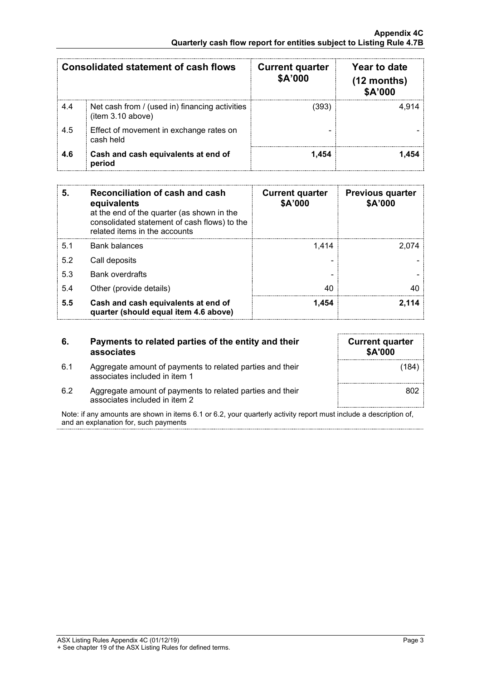|     | Consolidated statement of cash flows                                | <b>Current quarter</b><br>\$A'000 | Year to date<br>$(12$ months)<br>\$A'000 |
|-----|---------------------------------------------------------------------|-----------------------------------|------------------------------------------|
| 4.4 | Net cash from / (used in) financing activities<br>(item 3.10 above) | (393)                             | 4 914                                    |
| 4.5 | Effect of movement in exchange rates on<br>cash held                |                                   |                                          |
| 4.6 | Cash and cash equivalents at end of<br>period                       | 1.454                             | -454                                     |

| 5   | Reconciliation of cash and cash<br>equivalents<br>at the end of the quarter (as shown in the<br>consolidated statement of cash flows) to the<br>related items in the accounts | <b>Current quarter</b><br>\$A'000 | <b>Previous quarter</b><br>\$A'000 |
|-----|-------------------------------------------------------------------------------------------------------------------------------------------------------------------------------|-----------------------------------|------------------------------------|
| 5.1 | Bank balances                                                                                                                                                                 | 1.414                             | 2.074                              |
| 5.2 | Call deposits                                                                                                                                                                 |                                   |                                    |
| 5.3 | <b>Bank overdrafts</b>                                                                                                                                                        |                                   |                                    |
| 5.4 | Other (provide details)                                                                                                                                                       | 40                                |                                    |
| 5.5 | Cash and cash equivalents at end of<br>quarter (should equal item 4.6 above)                                                                                                  | 1.454                             |                                    |

| 6.  | Payments to related parties of the entity and their<br>associates |
|-----|-------------------------------------------------------------------|
| 6.1 | Aggregate amount of payments to related parties and their         |

| <b>Current quarter</b><br>\$A'000 |       |
|-----------------------------------|-------|
|                                   | (184) |
|                                   | 802   |

6.2 Aggregate amount of payments to related parties and their associates included in item 2

associates included in item 1

Note: if any amounts are shown in items 6.1 or 6.2, your quarterly activity report must include a description of, and an explanation for, such payments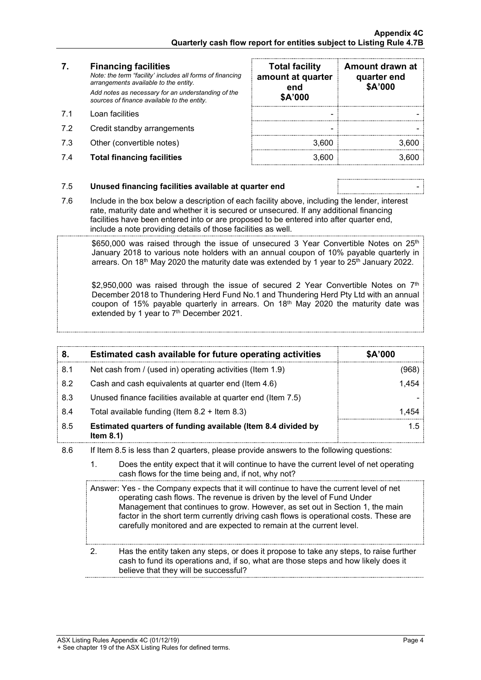### **7. Financing facilities**

- 
- 7.2 Credit standby arrangements
- 7.3 Other (convertible notes)
- 7.4 **Total financing facilities** 3,600 3,600

| 7.  | <b>Financing facilities</b><br>Note: the term "facility' includes all forms of financing<br>arrangements available to the entity. | <b>Total facility</b><br>amount at quarter<br>end | Amount drawn at<br>quarter end<br>\$A'000 |
|-----|-----------------------------------------------------------------------------------------------------------------------------------|---------------------------------------------------|-------------------------------------------|
|     | Add notes as necessary for an understanding of the<br>sources of finance available to the entity.                                 | \$A'000                                           |                                           |
| 71  | Loan facilities                                                                                                                   |                                                   |                                           |
| 7.2 | Credit standby arrangements                                                                                                       |                                                   |                                           |
| 7.3 | Other (convertible notes)                                                                                                         | 3.600                                             | 3.600                                     |
| 7.4 | <b>Total financing facilities</b>                                                                                                 | 3.600                                             |                                           |

### 7.5 **Unused financing facilities available at quarter end** -

7.6 Include in the box below a description of each facility above, including the lender, interest rate, maturity date and whether it is secured or unsecured. If any additional financing facilities have been entered into or are proposed to be entered into after quarter end, include a note providing details of those facilities as well.

 $$650,000$  was raised through the issue of unsecured 3 Year Convertible Notes on  $25<sup>th</sup>$ January 2018 to various note holders with an annual coupon of 10% payable quarterly in arrears. On 18<sup>th</sup> May 2020 the maturity date was extended by 1 year to  $25<sup>th</sup>$  January 2022.

\$2,950,000 was raised through the issue of secured 2 Year Convertible Notes on  $7<sup>th</sup>$ December 2018 to Thundering Herd Fund No.1 and Thundering Herd Pty Ltd with an annual coupon of 15% payable quarterly in arrears. On 18<sup>th</sup> May 2020 the maturity date was extended by 1 year to 7<sup>th</sup> December 2021.

| 8.  | Estimated cash available for future operating activities                     | <b>\$A'000</b> |
|-----|------------------------------------------------------------------------------|----------------|
| 8.1 | Net cash from / (used in) operating activities (Item 1.9)                    | 968            |
| 8.2 | Cash and cash equivalents at quarter end (Item 4.6)                          | 1.454          |
| 8.3 | Unused finance facilities available at quarter end (Item 7.5)                |                |
| 8.4 | Total available funding (Item $8.2 +$ Item $8.3$ )                           | 1 454          |
| 8.5 | Estimated quarters of funding available (Item 8.4 divided by<br>Item $8.1$ ) |                |

- 8.6 If Item 8.5 is less than 2 quarters, please provide answers to the following questions:
	- 1. Does the entity expect that it will continue to have the current level of net operating cash flows for the time being and, if not, why not?

Answer: Yes - the Company expects that it will continue to have the current level of net operating cash flows. The revenue is driven by the level of Fund Under Management that continues to grow. However, as set out in Section 1, the main factor in the short term currently driving cash flows is operational costs. These are carefully monitored and are expected to remain at the current level.

2. Has the entity taken any steps, or does it propose to take any steps, to raise further cash to fund its operations and, if so, what are those steps and how likely does it believe that they will be successful?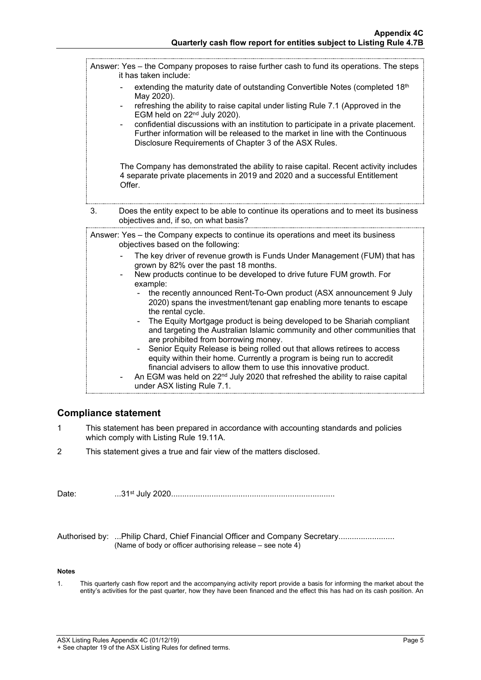Answer: Yes – the Company proposes to raise further cash to fund its operations. The steps it has taken include: extending the maturity date of outstanding Convertible Notes (completed 18th May 2020). refreshing the ability to raise capital under listing Rule 7.1 (Approved in the EGM held on 22nd July 2020). - confidential discussions with an institution to participate in a private placement. Further information will be released to the market in line with the Continuous Disclosure Requirements of Chapter 3 of the ASX Rules. The Company has demonstrated the ability to raise capital. Recent activity includes 4 separate private placements in 2019 and 2020 and a successful Entitlement Offer. 3. Does the entity expect to be able to continue its operations and to meet its business objectives and, if so, on what basis? Answer: Yes – the Company expects to continue its operations and meet its business objectives based on the following: The key driver of revenue growth is Funds Under Management (FUM) that has grown by 82% over the past 18 months. New products continue to be developed to drive future FUM growth. For example: the recently announced Rent-To-Own product (ASX announcement 9 July 2020) spans the investment/tenant gap enabling more tenants to escape the rental cycle. The Equity Mortgage product is being developed to be Shariah compliant and targeting the Australian Islamic community and other communities that are prohibited from borrowing money. Senior Equity Release is being rolled out that allows retirees to access equity within their home. Currently a program is being run to accredit financial advisers to allow them to use this innovative product. An EGM was held on  $22<sup>nd</sup>$  July 2020 that refreshed the ability to raise capital under ASX listing Rule 7.1.

### **Compliance statement**

- 1 This statement has been prepared in accordance with accounting standards and policies which comply with Listing Rule 19.11A.
- 2 This statement gives a true and fair view of the matters disclosed.

Date: ...31st July 2020.........................................................................

Authorised by: ...Philip Chard, Chief Financial Officer and Company Secretary........................ (Name of body or officer authorising release – see note 4)

#### **Notes**

1. This quarterly cash flow report and the accompanying activity report provide a basis for informing the market about the entity's activities for the past quarter, how they have been financed and the effect this has had on its cash position. An